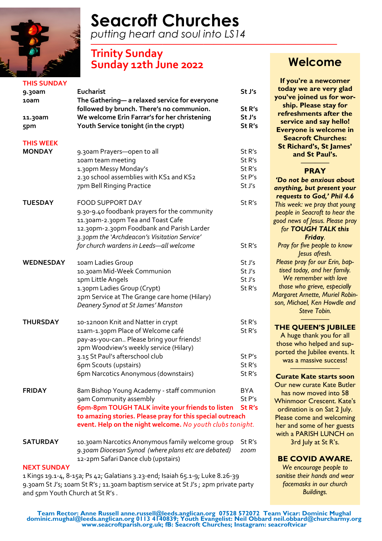

# **Seacroft Churches**

*putting heart and soul into LS14 —–—–—————————————————————*

# **Trinity Sunday Sunday 12th June 2022 Welcome**

| <b>THIS SUNDAY</b> |                                                                                                                        |                   |
|--------------------|------------------------------------------------------------------------------------------------------------------------|-------------------|
| 9.30am             | <b>Eucharist</b>                                                                                                       | St J's            |
| 10am               | The Gathering-a relaxed service for everyone                                                                           |                   |
|                    | followed by brunch. There's no communion.                                                                              | St R's            |
|                    | We welcome Erin Farrar's for her christening                                                                           | St J's            |
| 11.30am            |                                                                                                                        | St R's            |
| 5pm                | Youth Service tonight (in the crypt)                                                                                   |                   |
| <b>THIS WEEK</b>   |                                                                                                                        |                   |
| <b>MONDAY</b>      | 9.30am Prayers-open to all                                                                                             | St R's            |
|                    | 10am team meeting                                                                                                      | St R's            |
|                    | 1.30pm Messy Monday's                                                                                                  | St R's            |
|                    | 2.30 school assemblies with KS1 and KS2                                                                                | St P's            |
|                    | 7pm Bell Ringing Practice                                                                                              | St J's            |
| <b>TUESDAY</b>     | <b>FOOD SUPPORT DAY</b>                                                                                                | St R's            |
|                    | 9.30-9.40 foodbank prayers for the community                                                                           |                   |
|                    |                                                                                                                        |                   |
|                    | 11.30am-2.30pm Tea and Toast Cafe                                                                                      |                   |
|                    | 12.30pm-2.30pm Foodbank and Parish Larder                                                                              |                   |
|                    | 3.30pm the 'Archdeacon's Visitation Service'                                                                           |                   |
|                    | for church wardens in Leeds-all welcome                                                                                | St R's            |
| <b>WEDNESDAY</b>   | 10am Ladies Group                                                                                                      | St J's            |
|                    | 10.30am Mid-Week Communion                                                                                             | St J's            |
|                    | 1pm Little Angels                                                                                                      | St J's            |
|                    | 1.30pm Ladies Group (Crypt)                                                                                            | St R's            |
|                    | 2pm Service at The Grange care home (Hilary)                                                                           |                   |
|                    | Deanery Synod at St James' Manston                                                                                     |                   |
|                    |                                                                                                                        |                   |
| <b>THURSDAY</b>    | 10-12noon Knit and Natter in crypt                                                                                     | St R's            |
|                    | 11am-1.30pm Place of Welcome café                                                                                      | St R's            |
|                    | pay-as-you-can Please bring your friends!                                                                              |                   |
|                    | 2pm Woodview's weekly service (Hilary)                                                                                 |                   |
|                    | 3.15 St Paul's afterschool club                                                                                        | St P's            |
|                    | 6pm Scouts (upstairs)                                                                                                  | St R's            |
|                    | 6pm Narcotics Anonymous (downstairs)                                                                                   | St R's            |
| <b>FRIDAY</b>      | 8am Bishop Young Academy - staff communion                                                                             | <b>BYA</b>        |
|                    | gam Community assembly                                                                                                 | St P's            |
|                    | 6pm-8pm TOUGH TALK invite your friends to listen                                                                       | St <sub>R's</sub> |
|                    |                                                                                                                        |                   |
|                    | to amazing stories. Please pray for this special outreach<br>event. Help on the night welcome. No youth clubs tonight. |                   |
|                    |                                                                                                                        |                   |
| <b>SATURDAY</b>    | 10.30am Narcotics Anonymous family welcome group                                                                       | St R's            |
|                    | 9.30am Diocesan Synod (where plans etc are debated)                                                                    | zoom              |
|                    | 12-2pm Safari Dance club (upstairs)                                                                                    |                   |
| <b>NEXT SUNDAY</b> |                                                                                                                        |                   |

1 Kings 19.1-4, 8-15a; Ps 42; Galatians 3.23-end; Isaiah 65.1-9; Luke 8.26-39 9.30am St J's; 10am St R's ; 11.30am baptism service at St J's ; 2pm private party and 5pm Youth Church at St R's .

**If you're a newcomer today we are very glad you've joined us for worship. Please stay for refreshments after the service and say hello! Everyone is welcome in Seacroft Churches: St Richard's, St James' and St Paul's.**

#### ———— **PRAY**

*'Do not be anxious about anything, but present your requests to God,' Phil 4.6 This week: we pray that young people in Seacroft to hear the good news of Jesus. Please pray for TOUGH TALK this Friday. Pray for five people to know Jesus afresh. Please pray for our Erin, baptised today, and her family. We remember with love those who grieve, especially Margaret Arnette, Muriel Robinson, Michael, Ken Howdle and Steve Tobin. ————*

#### **THE QUEEN'S JUBILEE**

A huge thank you for all those who helped and supported the Jubilee events. It was a massive success!

#### ———————————————————— **Curate Kate starts soon**

Our new curate Kate Butler has now moved into 58 Whinmoor Crescent. Kate's ordination is on Sat 2 July. Please come and welcoming her and some of her guests with a PARISH LUNCH on 3rd July at St R's.

#### **BE COVID AWARE.**

*We encourage people to sanitise their hands and wear facemasks in our church Buildings.*